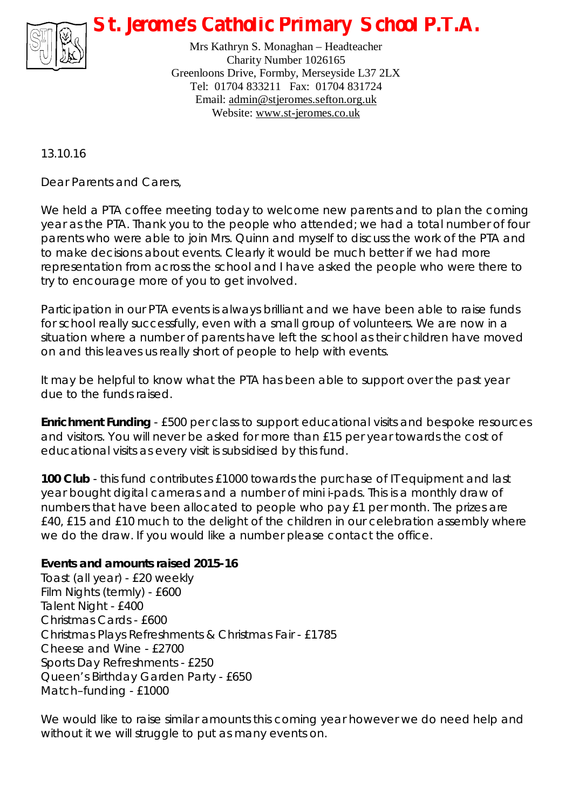

*St. Jerome's Catholic Primary School P.T.A.*

Mrs Kathryn S. Monaghan – Headteacher Charity Number 1026165 Greenloons Drive, Formby, Merseyside L37 2LX Tel: 01704 833211 Fax: 01704 831724 Email: [admin@stjeromes.sefton.org.uk](mailto:admin@stjeromes.sefton.org.uk) Website: [www.st-jeromes.co.uk](http://www.st-jeromes.co.uk)

13.10.16

Dear Parents and Carers,

We held a PTA coffee meeting today to welcome new parents and to plan the coming year as the PTA. Thank you to the people who attended; we had a total number of four parents who were able to join Mrs. Quinn and myself to discuss the work of the PTA and to make decisions about events. Clearly it would be much better if we had more representation from across the school and I have asked the people who were there to try to encourage more of you to get involved.

Participation in our PTA events is always brilliant and we have been able to raise funds for school really successfully, even with a small group of volunteers. We are now in a situation where a number of parents have left the school as their children have moved on and this leaves us really short of people to help with events.

It may be helpful to know what the PTA has been able to support over the past year due to the funds raised.

**Enrichment Funding** - £500 per class to support educational visits and bespoke resources and visitors. You will never be asked for more than £15 per year towards the cost of educational visits as every visit is subsidised by this fund.

**100 Club** - this fund contributes £1000 towards the purchase of IT equipment and last year bought digital cameras and a number of mini i-pads. This is a monthly draw of numbers that have been allocated to people who pay £1 per month. The prizes are £40, £15 and £10 much to the delight of the children in our celebration assembly where we do the draw. If you would like a number please contact the office.

**Events and amounts raised 2015-16**  Toast (all year) - £20 weekly Film Nights (termly) - £600 Talent Night - £400 Christmas Cards - £600 Christmas Plays Refreshments & Christmas Fair - £1785 Cheese and Wine - £2700 Sports Day Refreshments - £250 Queen's Birthday Garden Party - £650 Match–funding - £1000

We would like to raise similar amounts this coming year however we do need help and without it we will struggle to put as many events on.